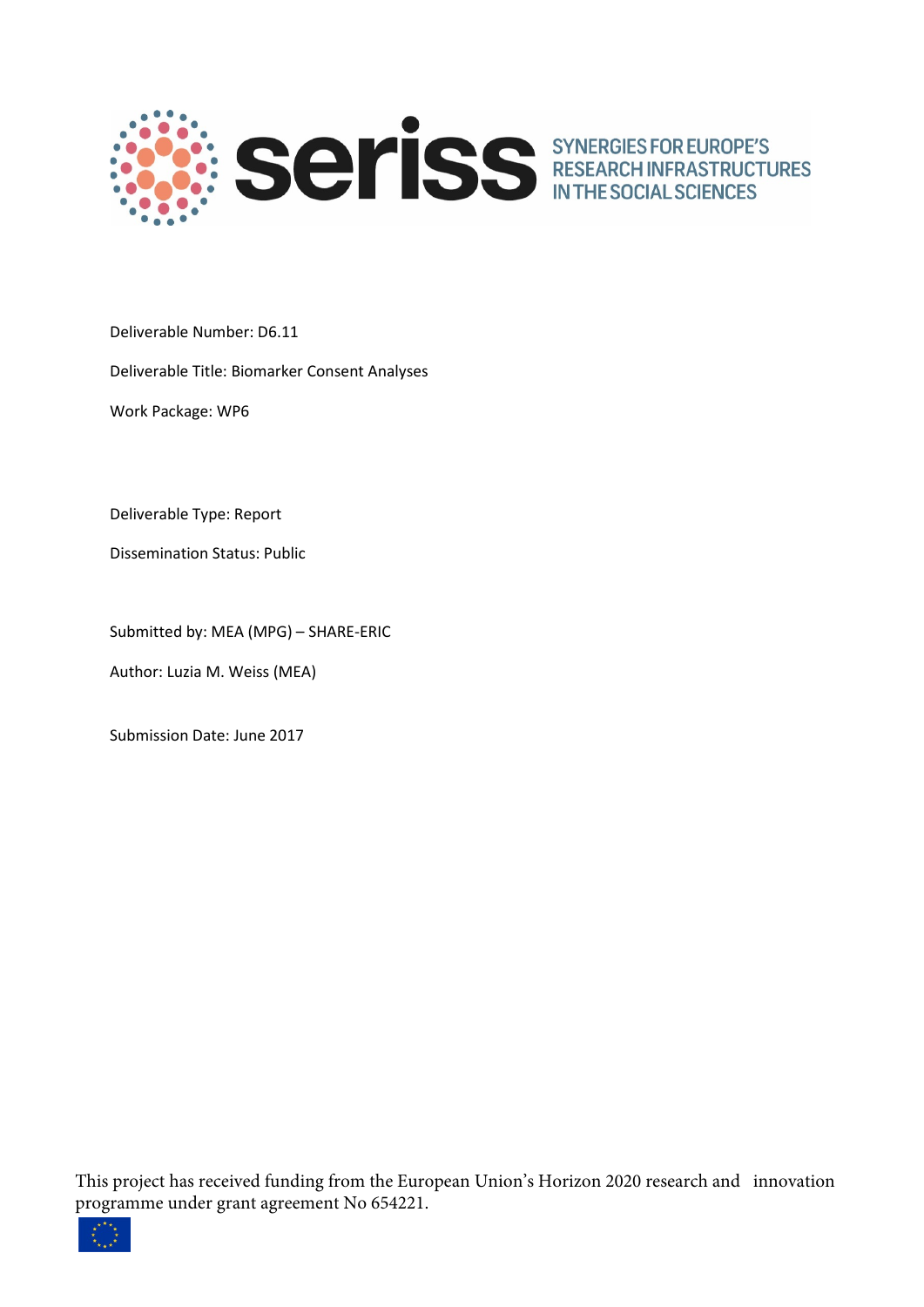

Deliverable Number: D6.11

Deliverable Title: Biomarker Consent Analyses

Work Package: WP6

Deliverable Type: Report

Dissemination Status: Public

Submitted by: MEA (MPG) – SHARE-ERIC

Author: Luzia M. Weiss (MEA)

Submission Date: June 2017

This project has received funding from the European Union's Horizon 2020 research and innovation programme under grant agreement No 654221.

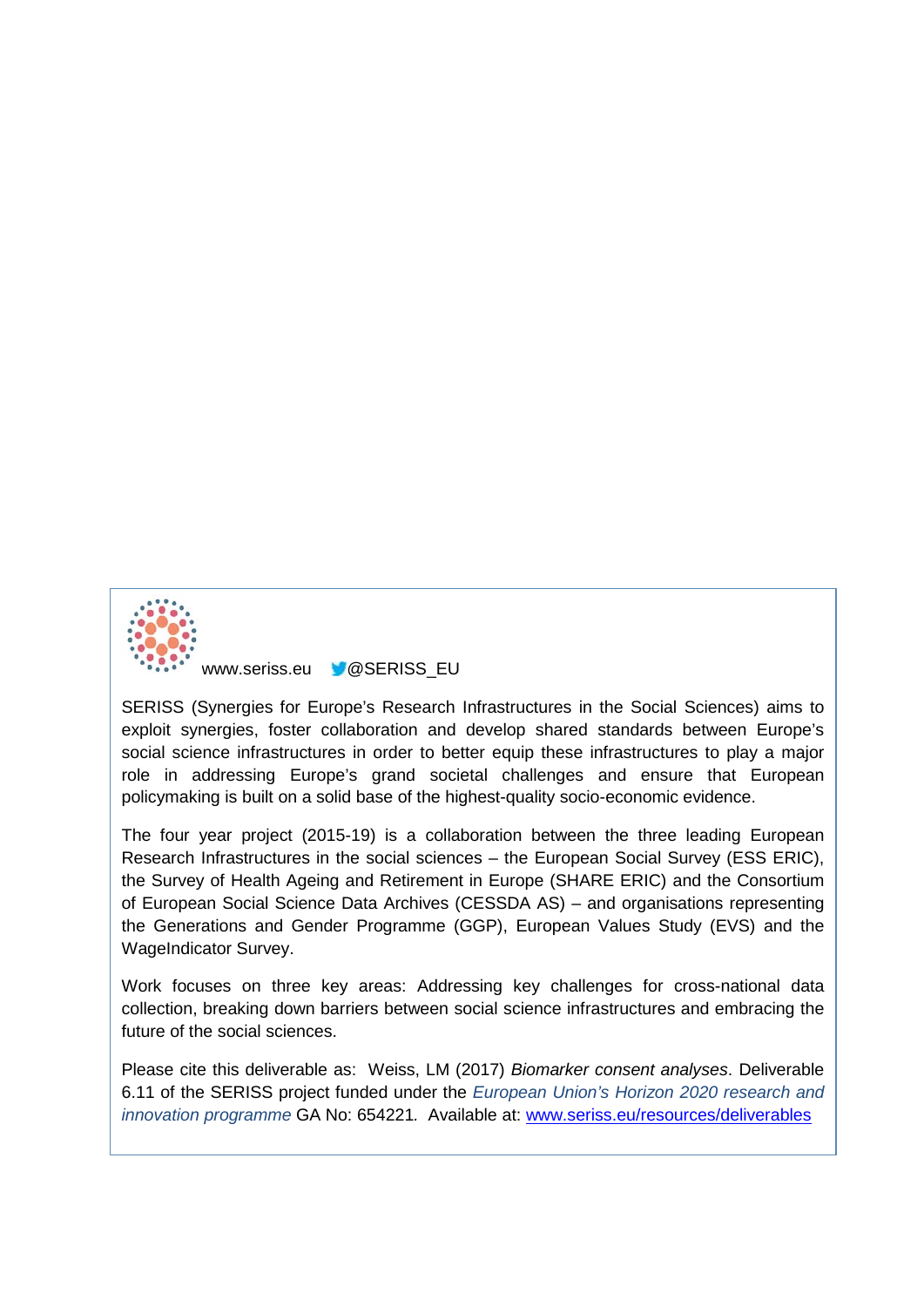

www.seriss.eu **@SERISS\_EU** 

SERISS (Synergies for Europe's Research Infrastructures in the Social Sciences) aims to exploit synergies, foster collaboration and develop shared standards between Europe's social science infrastructures in order to better equip these infrastructures to play a major role in addressing Europe's grand societal challenges and ensure that European policymaking is built on a solid base of the highest-quality socio-economic evidence.

The four year project (2015-19) is a collaboration between the three leading European Research Infrastructures in the social sciences – the European Social Survey (ESS ERIC), the Survey of Health Ageing and Retirement in Europe (SHARE ERIC) and the Consortium of European Social Science Data Archives (CESSDA AS) – and organisations representing the Generations and Gender Programme (GGP), European Values Study (EVS) and the WageIndicator Survey.

Work focuses on three key areas: Addressing key challenges for cross-national data collection, breaking down barriers between social science infrastructures and embracing the future of the social sciences.

Please cite this deliverable as: Weiss, LM (2017) *Biomarker consent analyses*. Deliverable 6.11 of the SERISS project funded under the *European Union's Horizon 2020 research and innovation programme* GA No: 654221*.* Available at: [www.seriss.eu/resources/deliverables](http://www.seriss.eu/resources/deliverables)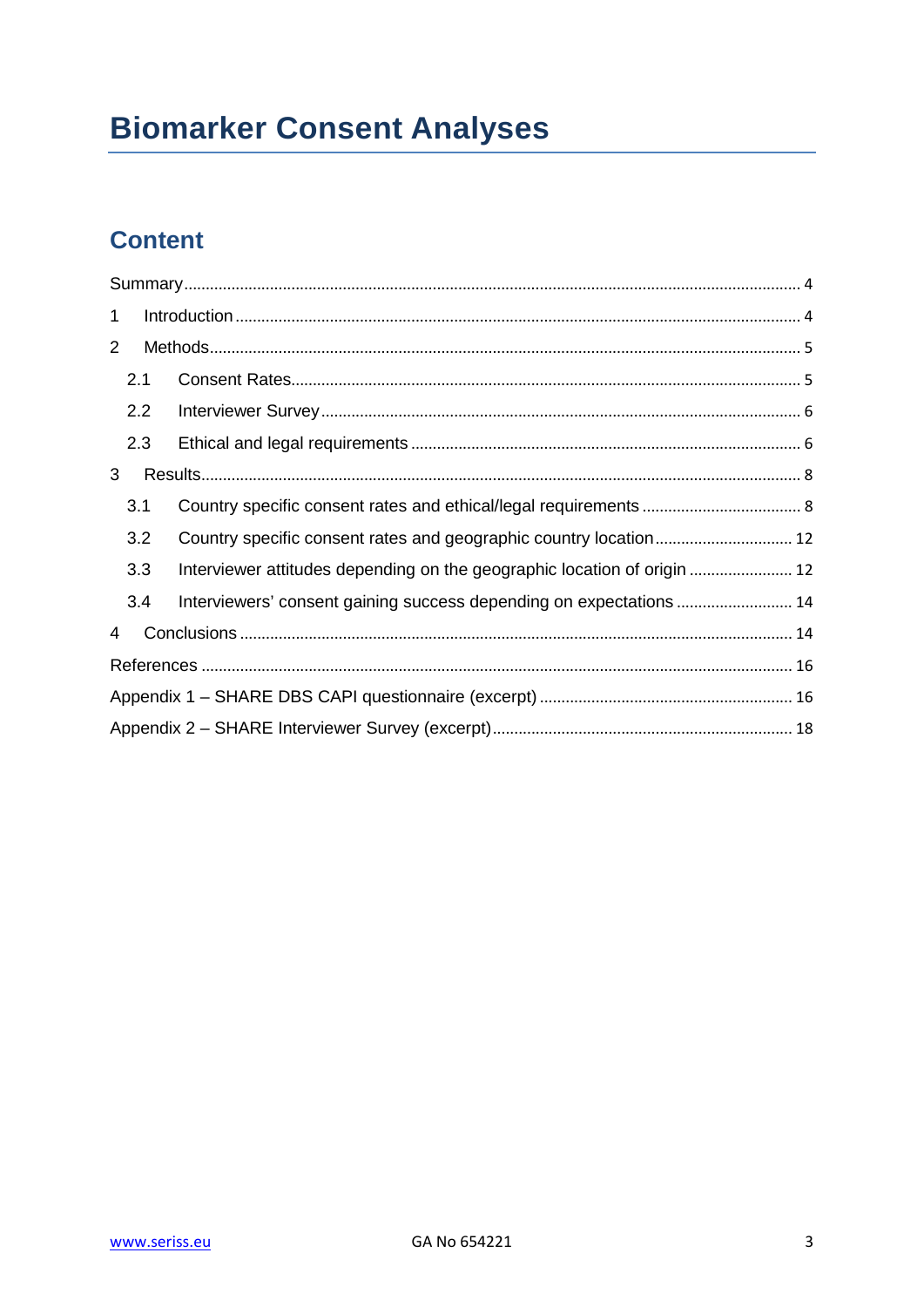# **Biomarker Consent Analyses**

# **Content**

| $\mathbf{1}$   |     |                                                                          |  |  |  |  |  |
|----------------|-----|--------------------------------------------------------------------------|--|--|--|--|--|
| $\overline{2}$ |     |                                                                          |  |  |  |  |  |
|                | 2.1 |                                                                          |  |  |  |  |  |
|                | 2.2 |                                                                          |  |  |  |  |  |
|                | 2.3 |                                                                          |  |  |  |  |  |
| 3              |     |                                                                          |  |  |  |  |  |
|                | 3.1 |                                                                          |  |  |  |  |  |
|                | 3.2 |                                                                          |  |  |  |  |  |
|                | 3.3 | Interviewer attitudes depending on the geographic location of origin  12 |  |  |  |  |  |
|                | 3.4 | Interviewers' consent gaining success depending on expectations  14      |  |  |  |  |  |
| 4              |     |                                                                          |  |  |  |  |  |
|                |     |                                                                          |  |  |  |  |  |
|                |     |                                                                          |  |  |  |  |  |
|                |     |                                                                          |  |  |  |  |  |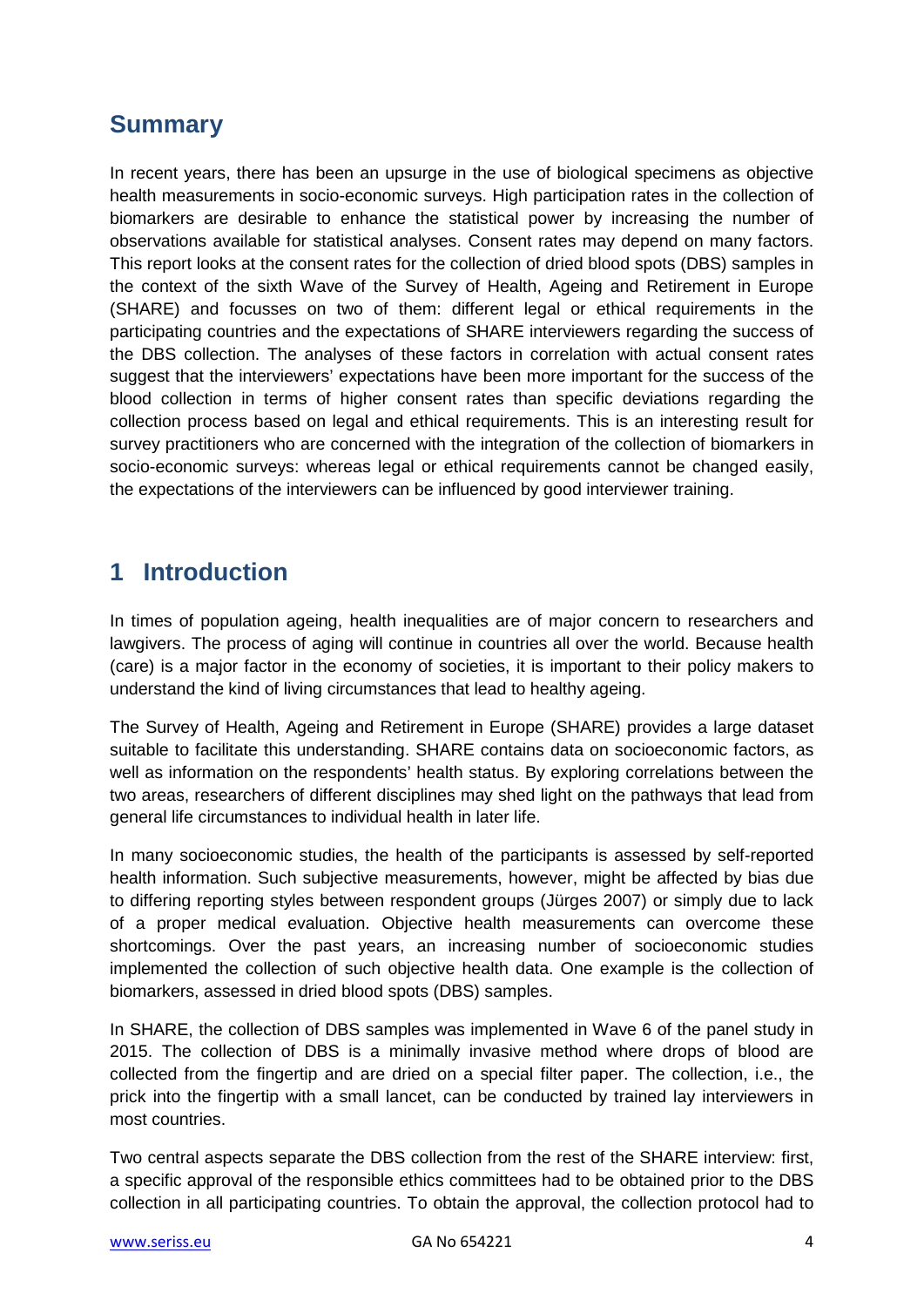# <span id="page-3-0"></span>**Summary**

In recent years, there has been an upsurge in the use of biological specimens as objective health measurements in socio-economic surveys. High participation rates in the collection of biomarkers are desirable to enhance the statistical power by increasing the number of observations available for statistical analyses. Consent rates may depend on many factors. This report looks at the consent rates for the collection of dried blood spots (DBS) samples in the context of the sixth Wave of the Survey of Health, Ageing and Retirement in Europe (SHARE) and focusses on two of them: different legal or ethical requirements in the participating countries and the expectations of SHARE interviewers regarding the success of the DBS collection. The analyses of these factors in correlation with actual consent rates suggest that the interviewers' expectations have been more important for the success of the blood collection in terms of higher consent rates than specific deviations regarding the collection process based on legal and ethical requirements. This is an interesting result for survey practitioners who are concerned with the integration of the collection of biomarkers in socio-economic surveys: whereas legal or ethical requirements cannot be changed easily, the expectations of the interviewers can be influenced by good interviewer training.

# <span id="page-3-1"></span>**1 Introduction**

In times of population ageing, health inequalities are of major concern to researchers and lawgivers. The process of aging will continue in countries all over the world. Because health (care) is a major factor in the economy of societies, it is important to their policy makers to understand the kind of living circumstances that lead to healthy ageing.

The Survey of Health, Ageing and Retirement in Europe (SHARE) provides a large dataset suitable to facilitate this understanding. SHARE contains data on socioeconomic factors, as well as information on the respondents' health status. By exploring correlations between the two areas, researchers of different disciplines may shed light on the pathways that lead from general life circumstances to individual health in later life.

In many socioeconomic studies, the health of the participants is assessed by self-reported health information. Such subjective measurements, however, might be affected by bias due to differing reporting styles between respondent groups (Jürges 2007) or simply due to lack of a proper medical evaluation. Objective health measurements can overcome these shortcomings. Over the past years, an increasing number of socioeconomic studies implemented the collection of such objective health data. One example is the collection of biomarkers, assessed in dried blood spots (DBS) samples.

In SHARE, the collection of DBS samples was implemented in Wave 6 of the panel study in 2015. The collection of DBS is a minimally invasive method where drops of blood are collected from the fingertip and are dried on a special filter paper. The collection, i.e., the prick into the fingertip with a small lancet, can be conducted by trained lay interviewers in most countries.

Two central aspects separate the DBS collection from the rest of the SHARE interview: first, a specific approval of the responsible ethics committees had to be obtained prior to the DBS collection in all participating countries. To obtain the approval, the collection protocol had to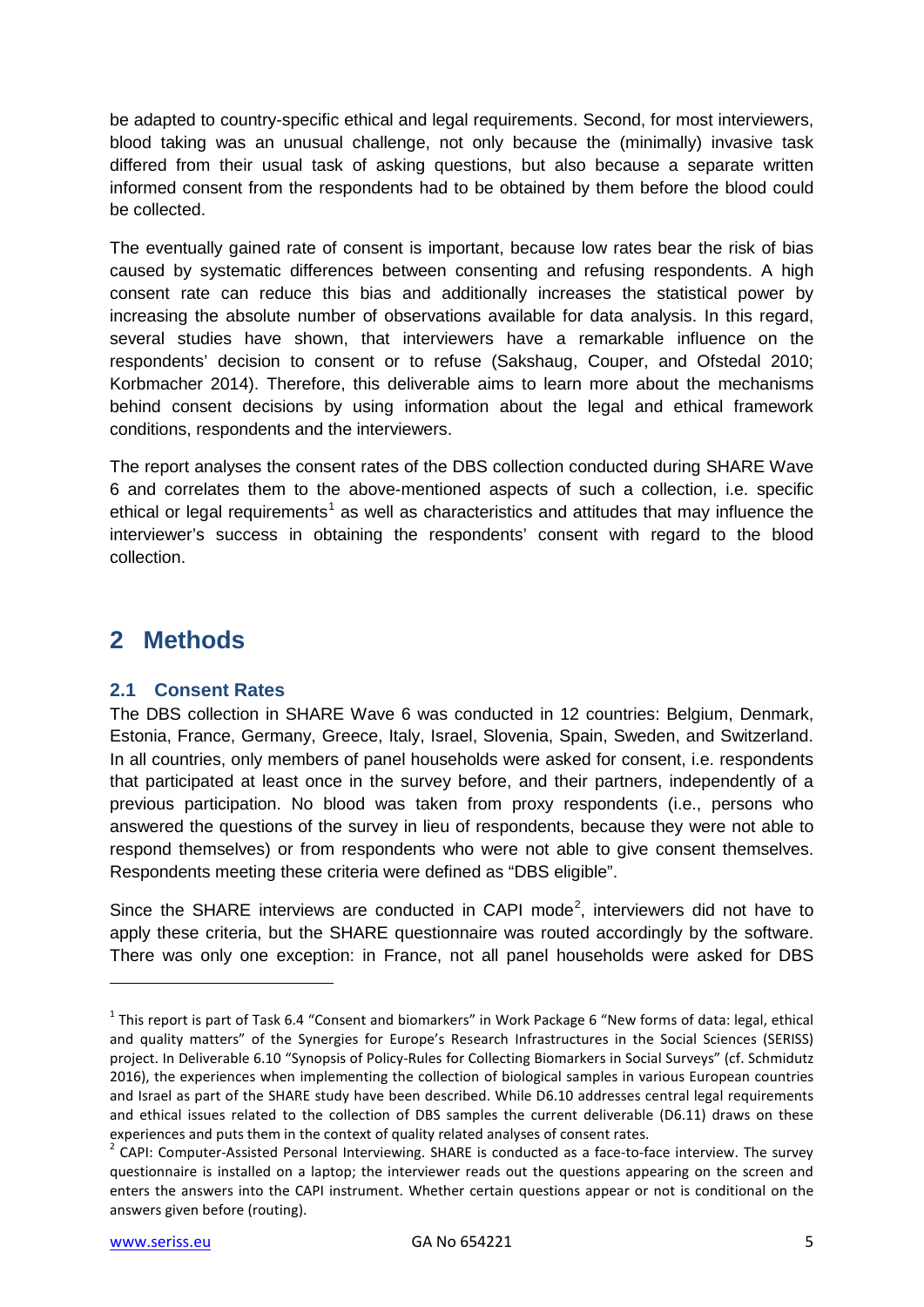be adapted to country-specific ethical and legal requirements. Second, for most interviewers, blood taking was an unusual challenge, not only because the (minimally) invasive task differed from their usual task of asking questions, but also because a separate written informed consent from the respondents had to be obtained by them before the blood could be collected.

The eventually gained rate of consent is important, because low rates bear the risk of bias caused by systematic differences between consenting and refusing respondents. A high consent rate can reduce this bias and additionally increases the statistical power by increasing the absolute number of observations available for data analysis. In this regard, several studies have shown, that interviewers have a remarkable influence on the respondents' decision to consent or to refuse (Sakshaug, Couper, and Ofstedal 2010; Korbmacher 2014). Therefore, this deliverable aims to learn more about the mechanisms behind consent decisions by using information about the legal and ethical framework conditions, respondents and the interviewers.

The report analyses the consent rates of the DBS collection conducted during SHARE Wave 6 and correlates them to the above-mentioned aspects of such a collection, i.e. specific ethical or legal requirements<sup>[1](#page-4-2)</sup> as well as characteristics and attitudes that may influence the interviewer's success in obtaining the respondents' consent with regard to the blood collection.

# <span id="page-4-0"></span>**2 Methods**

### <span id="page-4-1"></span>**2.1 Consent Rates**

The DBS collection in SHARE Wave 6 was conducted in 12 countries: Belgium, Denmark, Estonia, France, Germany, Greece, Italy, Israel, Slovenia, Spain, Sweden, and Switzerland. In all countries, only members of panel households were asked for consent, i.e. respondents that participated at least once in the survey before, and their partners, independently of a previous participation. No blood was taken from proxy respondents (i.e., persons who answered the questions of the survey in lieu of respondents, because they were not able to respond themselves) or from respondents who were not able to give consent themselves. Respondents meeting these criteria were defined as "DBS eligible".

Since the SHARE interviews are conducted in CAPI mode<sup>[2](#page-4-3)</sup>, interviewers did not have to apply these criteria, but the SHARE questionnaire was routed accordingly by the software. There was only one exception: in France, not all panel households were asked for DBS

 $\overline{a}$ 

<span id="page-4-2"></span> $1$  This report is part of Task 6.4 "Consent and biomarkers" in Work Package 6 "New forms of data: legal, ethical and quality matters" of the Synergies for Europe's Research Infrastructures in the Social Sciences (SERISS) project. In Deliverable 6.10 "Synopsis of Policy-Rules for Collecting Biomarkers in Social Surveys" (cf. Schmidutz 2016), the experiences when implementing the collection of biological samples in various European countries and Israel as part of the SHARE study have been described. While D6.10 addresses central legal requirements and ethical issues related to the collection of DBS samples the current deliverable (D6.11) draws on these experiences and puts them in the context of quality related analyses of consent rates.<br><sup>2</sup> CAPI: Computer-Assisted Personal Interviewing. SHARE is conducted as a face-to-face interview. The survey

<span id="page-4-3"></span>questionnaire is installed on a laptop; the interviewer reads out the questions appearing on the screen and enters the answers into the CAPI instrument. Whether certain questions appear or not is conditional on the answers given before (routing).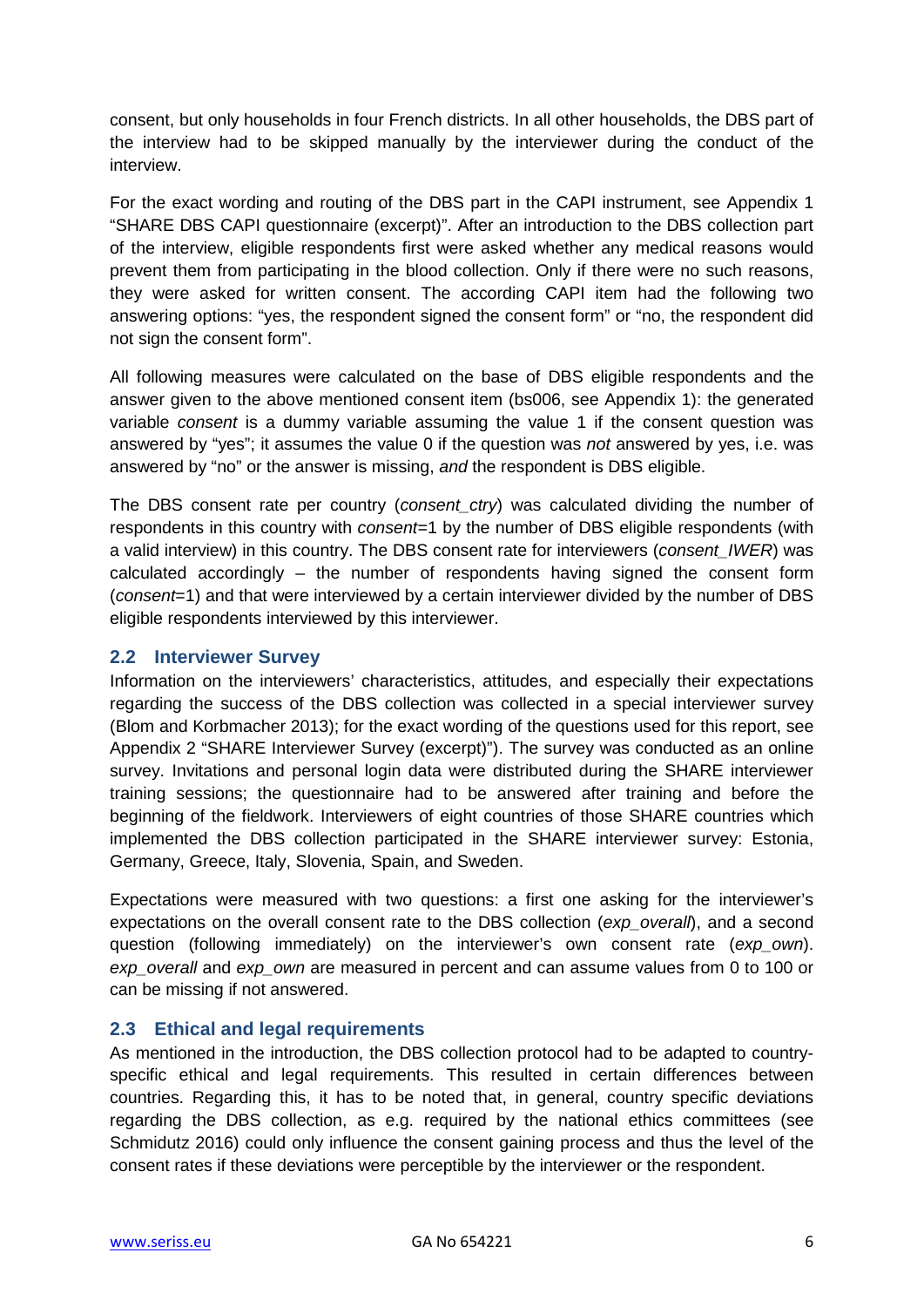consent, but only households in four French districts. In all other households, the DBS part of the interview had to be skipped manually by the interviewer during the conduct of the interview.

For the exact wording and routing of the DBS part in the CAPI instrument, see Appendix 1 "SHARE DBS CAPI questionnaire (excerpt)". After an introduction to the DBS collection part of the interview, eligible respondents first were asked whether any medical reasons would prevent them from participating in the blood collection. Only if there were no such reasons, they were asked for written consent. The according CAPI item had the following two answering options: "yes, the respondent signed the consent form" or "no, the respondent did not sign the consent form".

All following measures were calculated on the base of DBS eligible respondents and the answer given to the above mentioned consent item (bs006, see Appendix 1): the generated variable *consent* is a dummy variable assuming the value 1 if the consent question was answered by "yes"; it assumes the value 0 if the question was *not* answered by yes, i.e. was answered by "no" or the answer is missing, *and* the respondent is DBS eligible.

The DBS consent rate per country (*consent\_ctry*) was calculated dividing the number of respondents in this country with *consent*=1 by the number of DBS eligible respondents (with a valid interview) in this country. The DBS consent rate for interviewers (*consent\_IWER*) was calculated accordingly – the number of respondents having signed the consent form (*consent*=1) and that were interviewed by a certain interviewer divided by the number of DBS eligible respondents interviewed by this interviewer.

### <span id="page-5-0"></span>**2.2 Interviewer Survey**

Information on the interviewers' characteristics, attitudes, and especially their expectations regarding the success of the DBS collection was collected in a special interviewer survey (Blom and Korbmacher 2013); for the exact wording of the questions used for this report, see Appendix 2 "SHARE Interviewer Survey (excerpt)"). The survey was conducted as an online survey. Invitations and personal login data were distributed during the SHARE interviewer training sessions; the questionnaire had to be answered after training and before the beginning of the fieldwork. Interviewers of eight countries of those SHARE countries which implemented the DBS collection participated in the SHARE interviewer survey: Estonia, Germany, Greece, Italy, Slovenia, Spain, and Sweden.

Expectations were measured with two questions: a first one asking for the interviewer's expectations on the overall consent rate to the DBS collection (*exp\_overall*), and a second question (following immediately) on the interviewer's own consent rate (*exp\_own*). *exp\_overall* and *exp\_own* are measured in percent and can assume values from 0 to 100 or can be missing if not answered.

### <span id="page-5-1"></span>**2.3 Ethical and legal requirements**

As mentioned in the introduction, the DBS collection protocol had to be adapted to countryspecific ethical and legal requirements. This resulted in certain differences between countries. Regarding this, it has to be noted that, in general, country specific deviations regarding the DBS collection, as e.g. required by the national ethics committees (see Schmidutz 2016) could only influence the consent gaining process and thus the level of the consent rates if these deviations were perceptible by the interviewer or the respondent.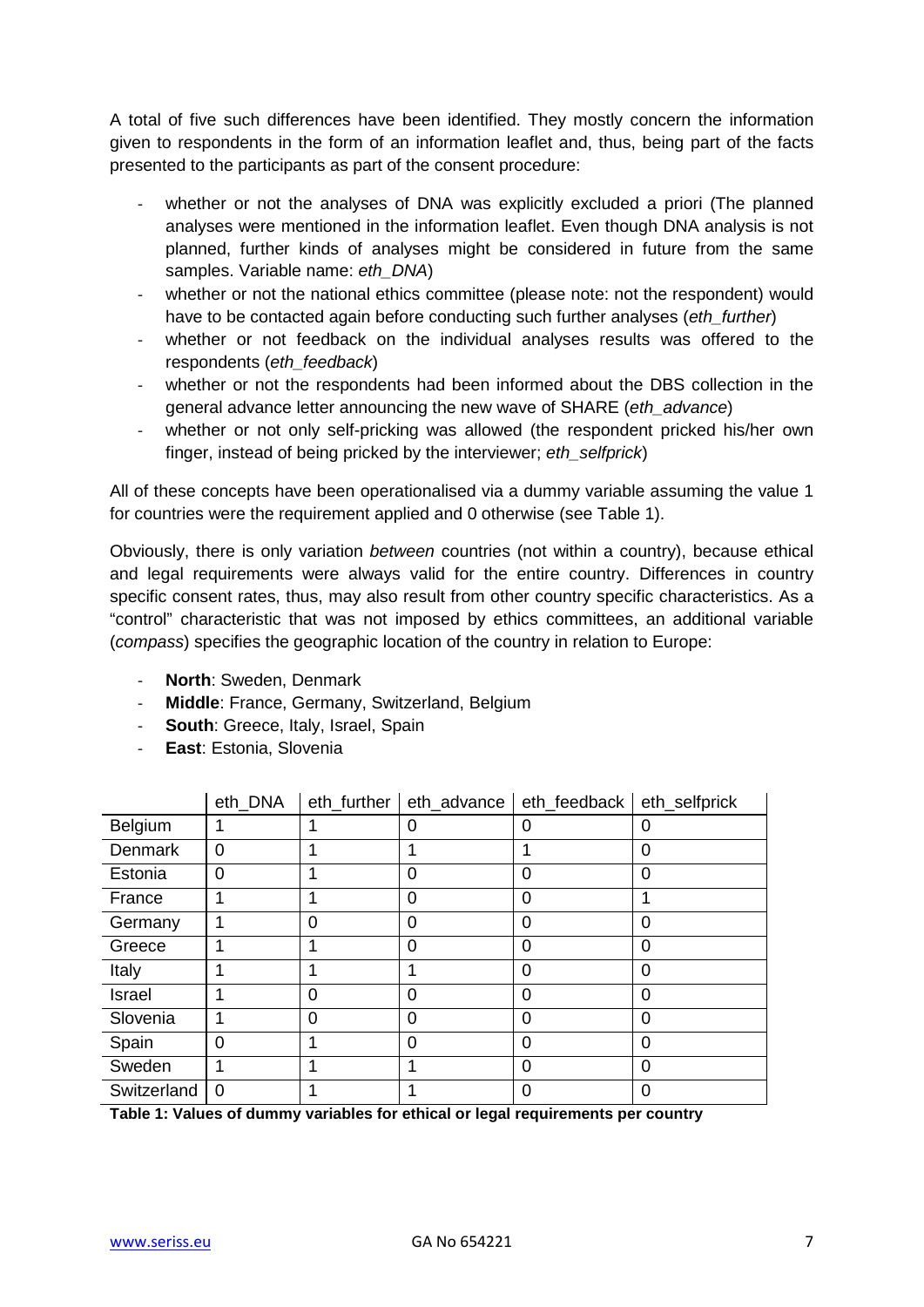A total of five such differences have been identified. They mostly concern the information given to respondents in the form of an information leaflet and, thus, being part of the facts presented to the participants as part of the consent procedure:

- whether or not the analyses of DNA was explicitly excluded a priori (The planned analyses were mentioned in the information leaflet. Even though DNA analysis is not planned, further kinds of analyses might be considered in future from the same samples. Variable name: *eth\_DNA*)
- whether or not the national ethics committee (please note: not the respondent) would have to be contacted again before conducting such further analyses (*eth\_further*)
- whether or not feedback on the individual analyses results was offered to the respondents (*eth\_feedback*)
- whether or not the respondents had been informed about the DBS collection in the general advance letter announcing the new wave of SHARE (*eth\_advance*)
- whether or not only self-pricking was allowed (the respondent pricked his/her own finger, instead of being pricked by the interviewer; *eth\_selfprick*)

All of these concepts have been operationalised via a dummy variable assuming the value 1 for countries were the requirement applied and 0 otherwise (see Table 1).

Obviously, there is only variation *between* countries (not within a country), because ethical and legal requirements were always valid for the entire country. Differences in country specific consent rates, thus, may also result from other country specific characteristics. As a "control" characteristic that was not imposed by ethics committees, an additional variable (*compass*) specifies the geographic location of the country in relation to Europe:

- **North**: Sweden, Denmark
- **Middle**: France, Germany, Switzerland, Belgium
- **South**: Greece, Italy, Israel, Spain
- **East**: Estonia, Slovenia

|             | eth_DNA        | eth_further | eth_advance    | eth_feedback | eth_selfprick |
|-------------|----------------|-------------|----------------|--------------|---------------|
| Belgium     |                |             | 0              | 0            | O             |
| Denmark     | 0              |             |                |              | 0             |
| Estonia     | 0              |             | $\Omega$       | 0            | 0             |
| France      |                |             | $\overline{0}$ | 0            |               |
| Germany     |                | 0           | $\Omega$       | 0            | 0             |
| Greece      |                |             | $\Omega$       | 0            | 0             |
| Italy       |                |             |                | 0            | 0             |
| Israel      |                | ∩           | $\Omega$       | 0            | 0             |
| Slovenia    |                | $\Omega$    | $\Omega$       | 0            | $\Omega$      |
| Spain       | $\Omega$       |             | $\Omega$       | 0            | $\Omega$      |
| Sweden      |                |             |                | 0            | $\Omega$      |
| Switzerland | $\overline{0}$ |             |                | 0            | 0             |

**Table 1: Values of dummy variables for ethical or legal requirements per country**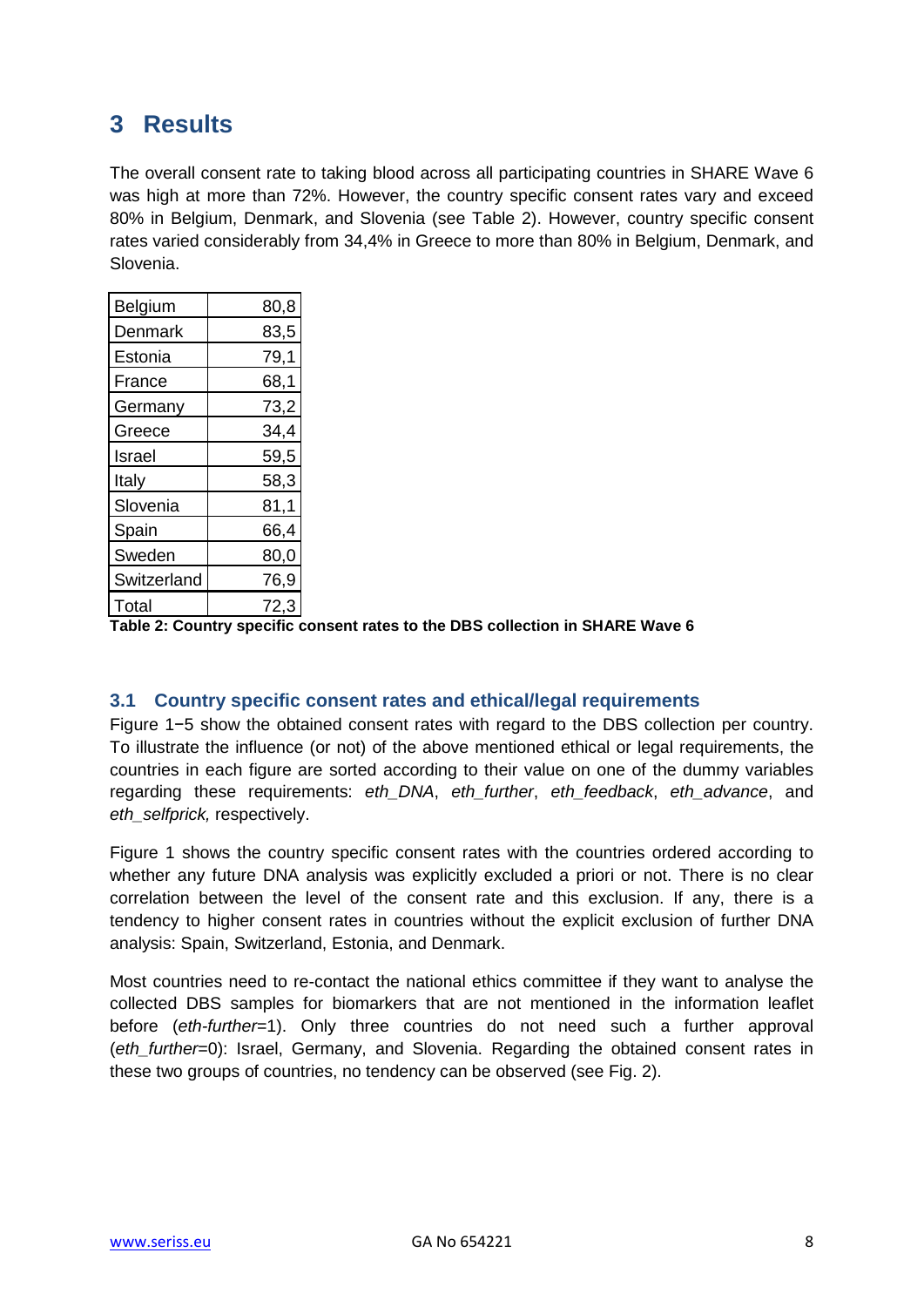# <span id="page-7-0"></span>**3 Results**

The overall consent rate to taking blood across all participating countries in SHARE Wave 6 was high at more than 72%. However, the country specific consent rates vary and exceed 80% in Belgium, Denmark, and Slovenia (see Table 2). However, country specific consent rates varied considerably from 34,4% in Greece to more than 80% in Belgium, Denmark, and Slovenia.

| Belgium     | 80,8 |
|-------------|------|
| Denmark     | 83,5 |
| Estonia     | 79,1 |
| France      | 68,1 |
| Germany     | 73,2 |
| Greece      | 34,4 |
| Israel      | 59,5 |
| Italy       | 58,3 |
| Slovenia    | 81,1 |
| Spain       | 66,4 |
| Sweden      | 80,0 |
| Switzerland | 76,9 |
| Total       | 72,3 |

**Table 2: Country specific consent rates to the DBS collection in SHARE Wave 6**

### <span id="page-7-1"></span>**3.1 Country specific consent rates and ethical/legal requirements**

Figure 1−5 show the obtained consent rates with regard to the DBS collection per country. To illustrate the influence (or not) of the above mentioned ethical or legal requirements, the countries in each figure are sorted according to their value on one of the dummy variables regarding these requirements: *eth\_DNA*, *eth\_further*, *eth\_feedback*, *eth\_advance*, and *eth\_selfprick,* respectively.

Figure 1 shows the country specific consent rates with the countries ordered according to whether any future DNA analysis was explicitly excluded a priori or not. There is no clear correlation between the level of the consent rate and this exclusion. If any, there is a tendency to higher consent rates in countries without the explicit exclusion of further DNA analysis: Spain, Switzerland, Estonia, and Denmark.

Most countries need to re-contact the national ethics committee if they want to analyse the collected DBS samples for biomarkers that are not mentioned in the information leaflet before (*eth-further*=1). Only three countries do not need such a further approval (*eth\_further*=0): Israel, Germany, and Slovenia. Regarding the obtained consent rates in these two groups of countries, no tendency can be observed (see Fig. 2).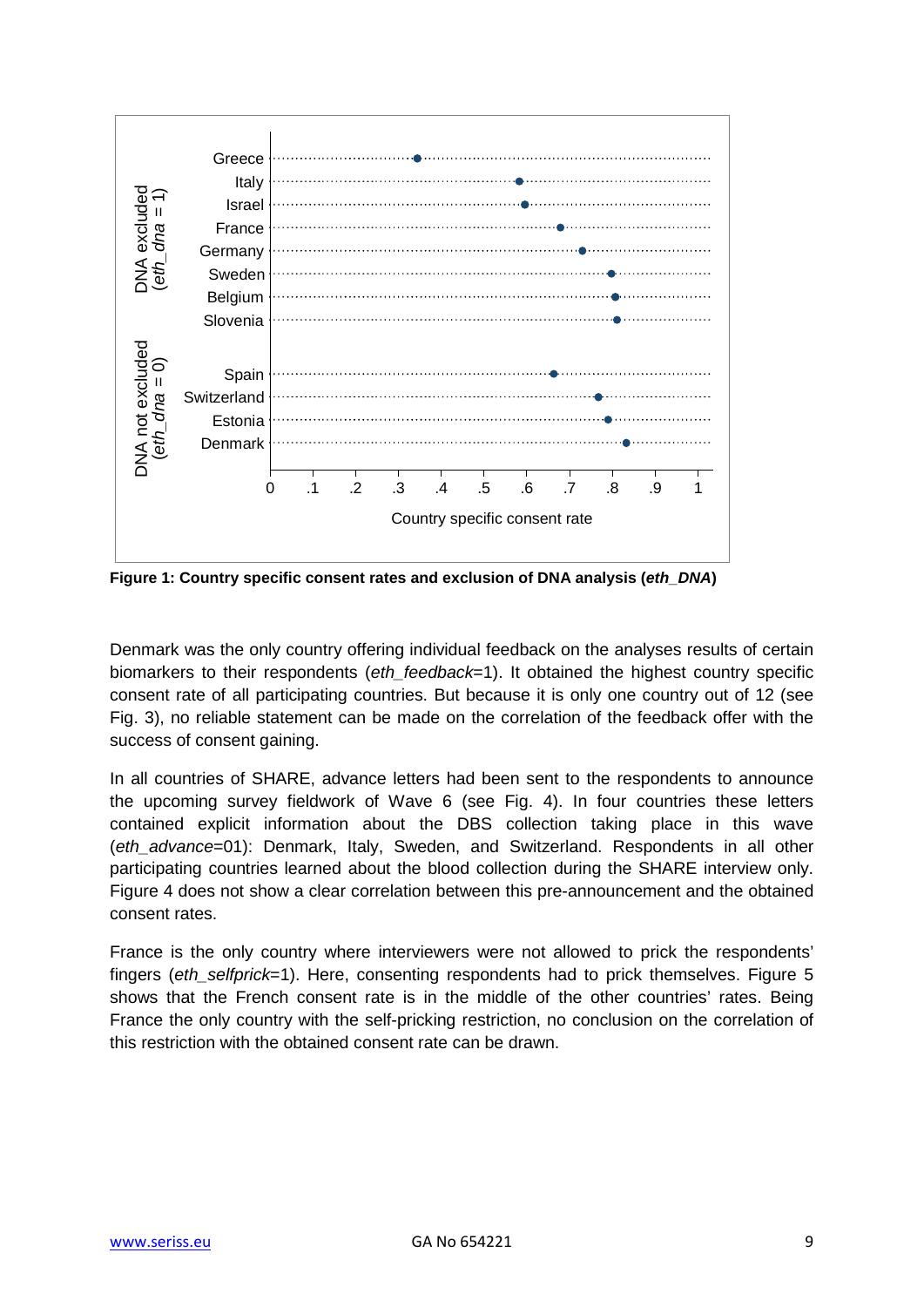

**Figure 1: Country specific consent rates and exclusion of DNA analysis (***eth\_DNA***)**

Denmark was the only country offering individual feedback on the analyses results of certain biomarkers to their respondents (*eth\_feedback*=1). It obtained the highest country specific consent rate of all participating countries. But because it is only one country out of 12 (see Fig. 3), no reliable statement can be made on the correlation of the feedback offer with the success of consent gaining.

In all countries of SHARE, advance letters had been sent to the respondents to announce the upcoming survey fieldwork of Wave 6 (see Fig. 4). In four countries these letters contained explicit information about the DBS collection taking place in this wave (*eth\_advance*=01): Denmark, Italy, Sweden, and Switzerland. Respondents in all other participating countries learned about the blood collection during the SHARE interview only. Figure 4 does not show a clear correlation between this pre-announcement and the obtained consent rates.

France is the only country where interviewers were not allowed to prick the respondents' fingers (*eth\_selfprick*=1). Here, consenting respondents had to prick themselves. Figure 5 shows that the French consent rate is in the middle of the other countries' rates. Being France the only country with the self-pricking restriction, no conclusion on the correlation of this restriction with the obtained consent rate can be drawn.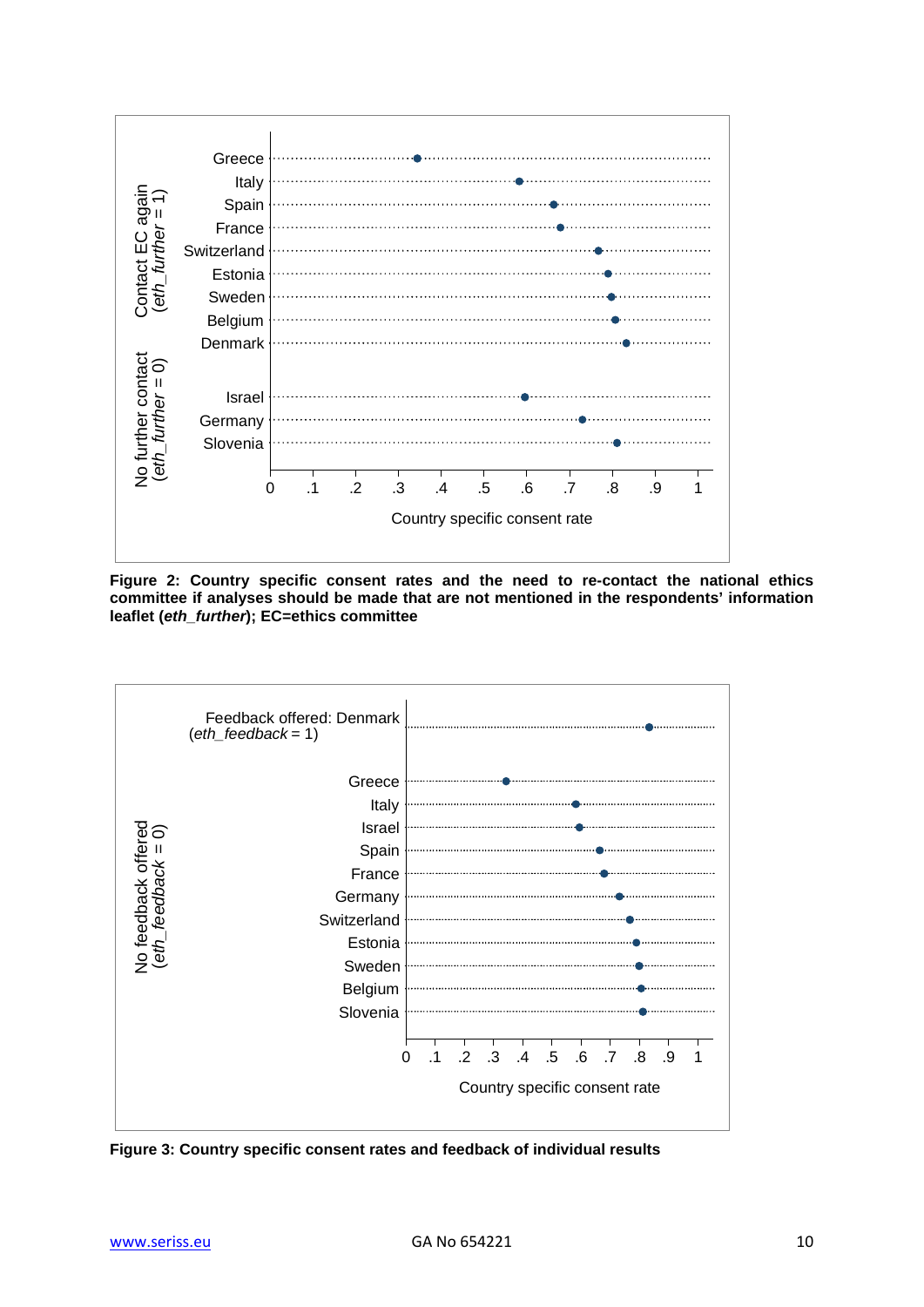

**Figure 2: Country specific consent rates and the need to re-contact the national ethics committee if analyses should be made that are not mentioned in the respondents' information leaflet (***eth\_further***); EC=ethics committee**



**Figure 3: Country specific consent rates and feedback of individual results**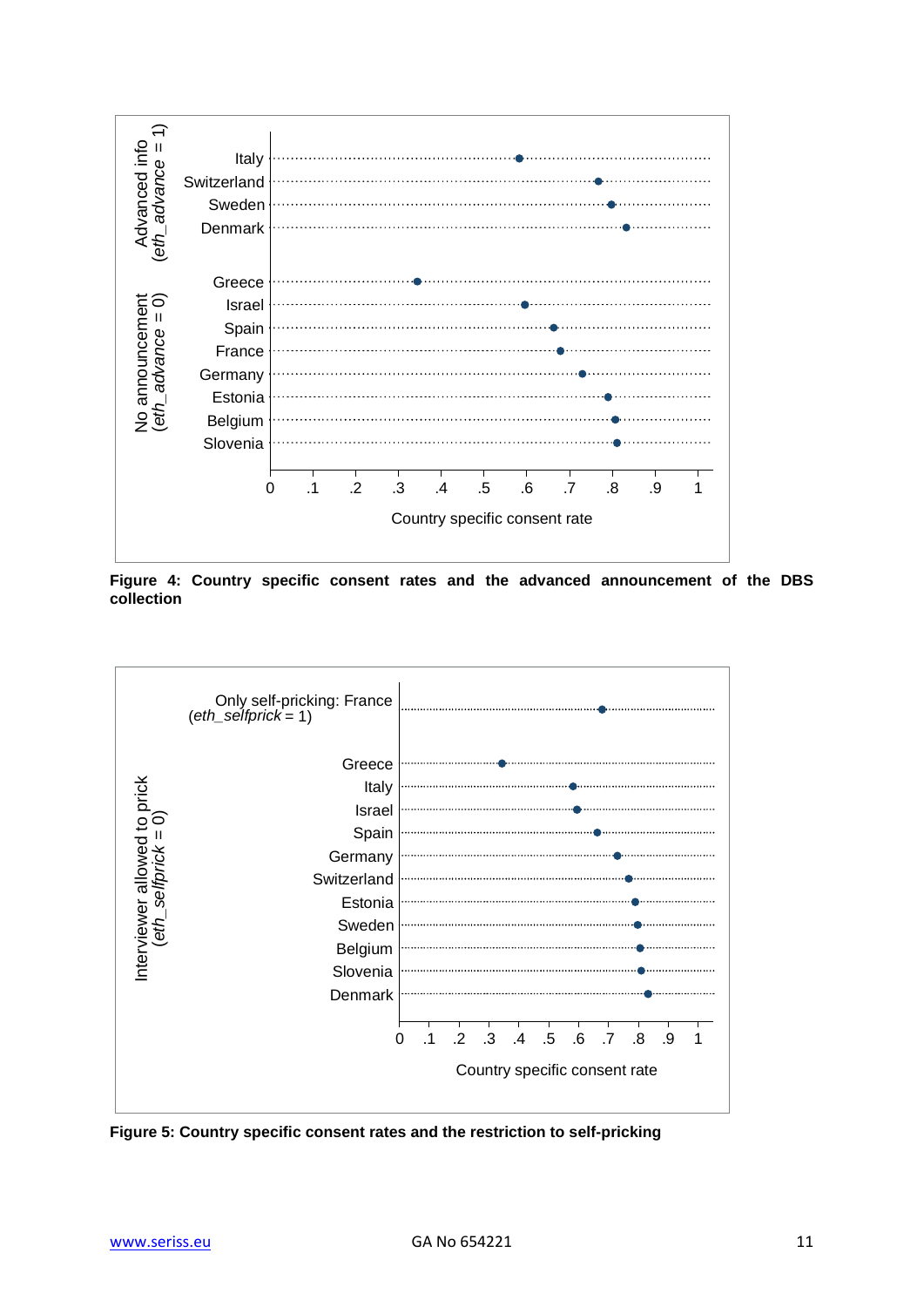

**Figure 4: Country specific consent rates and the advanced announcement of the DBS collection**



**Figure 5: Country specific consent rates and the restriction to self-pricking**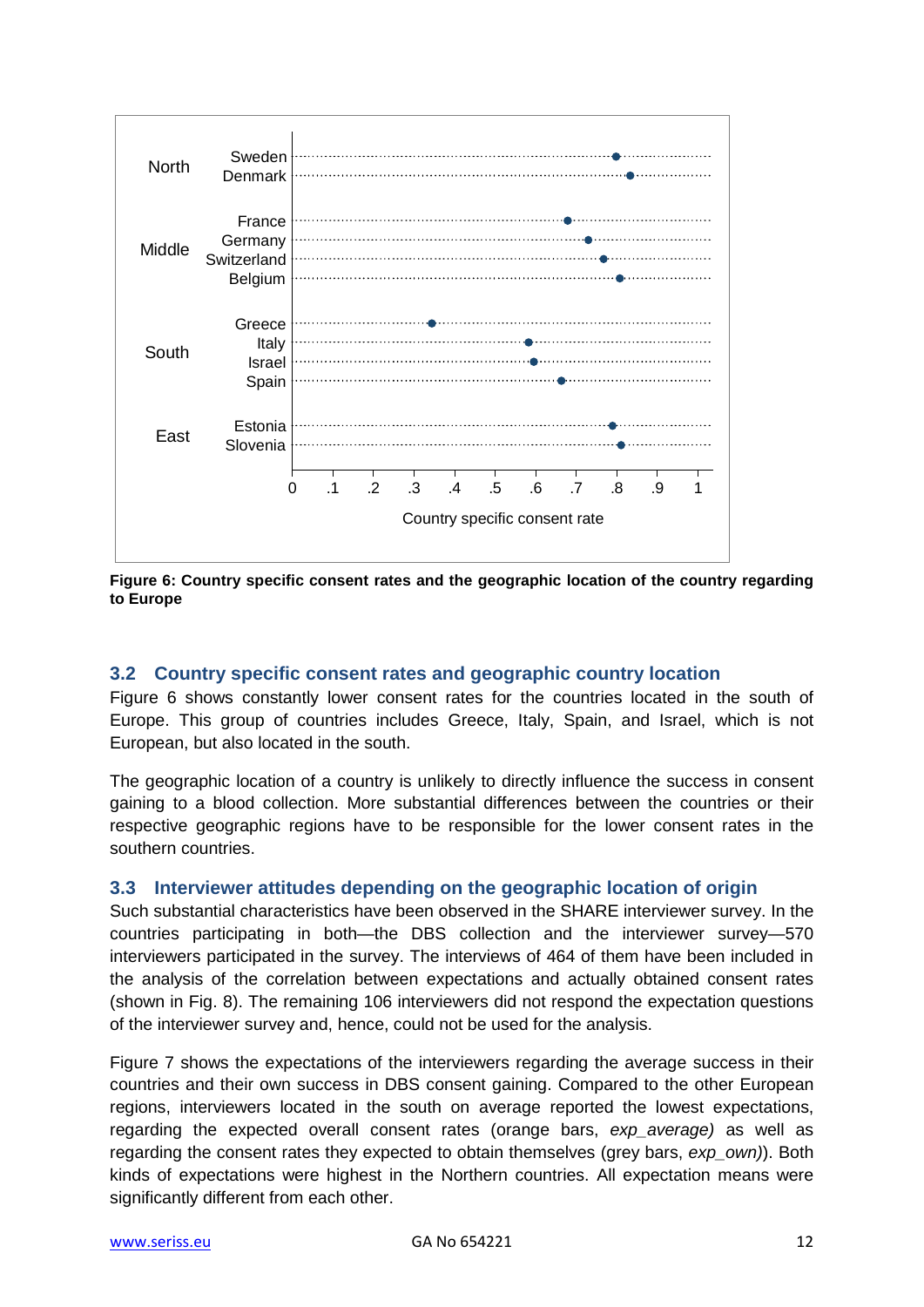

**Figure 6: Country specific consent rates and the geographic location of the country regarding to Europe**

### <span id="page-11-0"></span>**3.2 Country specific consent rates and geographic country location**

Figure 6 shows constantly lower consent rates for the countries located in the south of Europe. This group of countries includes Greece, Italy, Spain, and Israel, which is not European, but also located in the south.

The geographic location of a country is unlikely to directly influence the success in consent gaining to a blood collection. More substantial differences between the countries or their respective geographic regions have to be responsible for the lower consent rates in the southern countries.

#### <span id="page-11-1"></span>**3.3 Interviewer attitudes depending on the geographic location of origin**

Such substantial characteristics have been observed in the SHARE interviewer survey. In the countries participating in both—the DBS collection and the interviewer survey—570 interviewers participated in the survey. The interviews of 464 of them have been included in the analysis of the correlation between expectations and actually obtained consent rates (shown in Fig. 8). The remaining 106 interviewers did not respond the expectation questions of the interviewer survey and, hence, could not be used for the analysis.

Figure 7 shows the expectations of the interviewers regarding the average success in their countries and their own success in DBS consent gaining. Compared to the other European regions, interviewers located in the south on average reported the lowest expectations, regarding the expected overall consent rates (orange bars, *exp\_average)* as well as regarding the consent rates they expected to obtain themselves (grey bars, *exp\_own)*). Both kinds of expectations were highest in the Northern countries. All expectation means were significantly different from each other.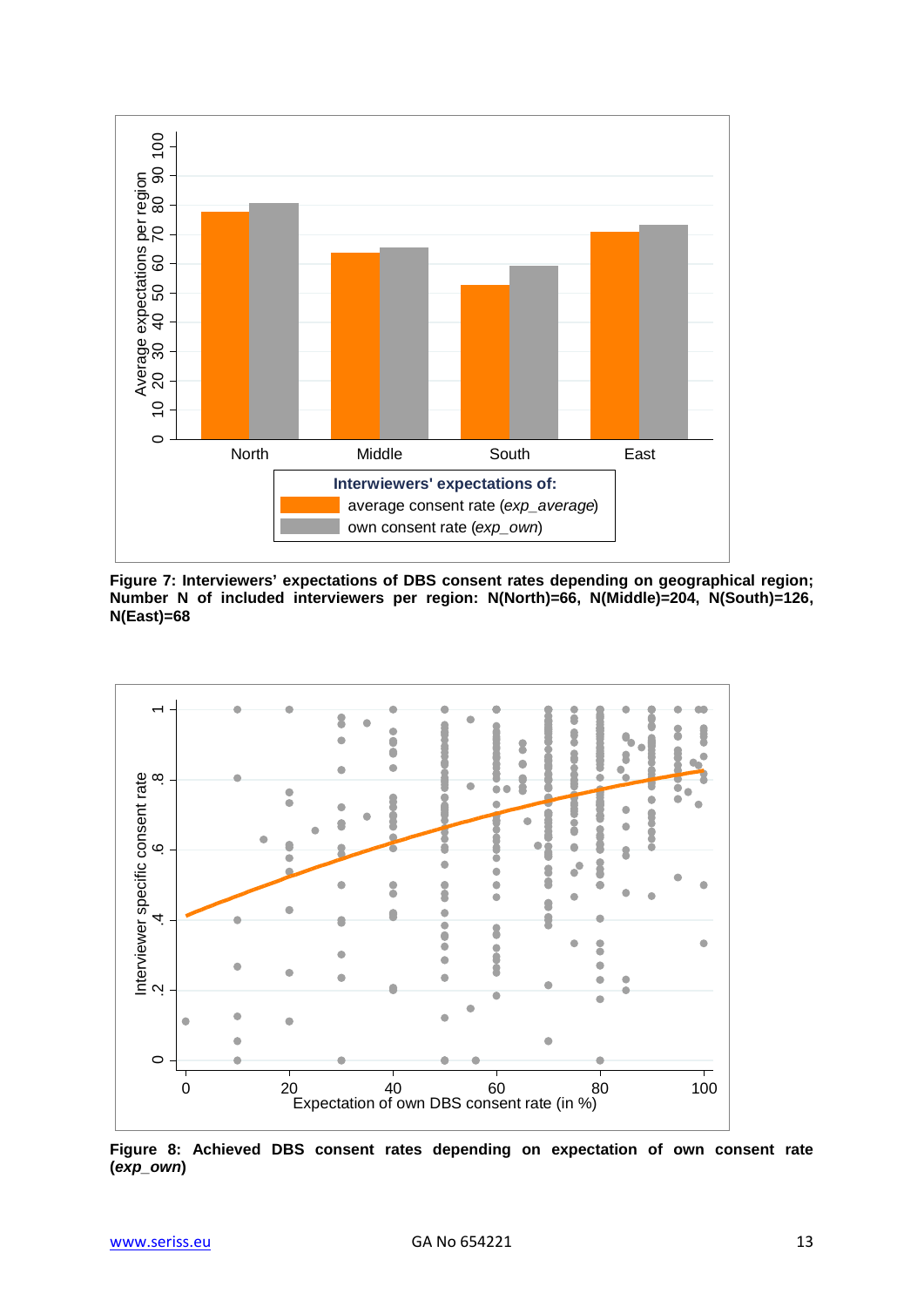

**Figure 7: Interviewers' expectations of DBS consent rates depending on geographical region; Number N of included interviewers per region: N(North)=66, N(Middle)=204, N(South)=126, N(East)=68**



**Figure 8: Achieved DBS consent rates depending on expectation of own consent rate (***exp\_own***)**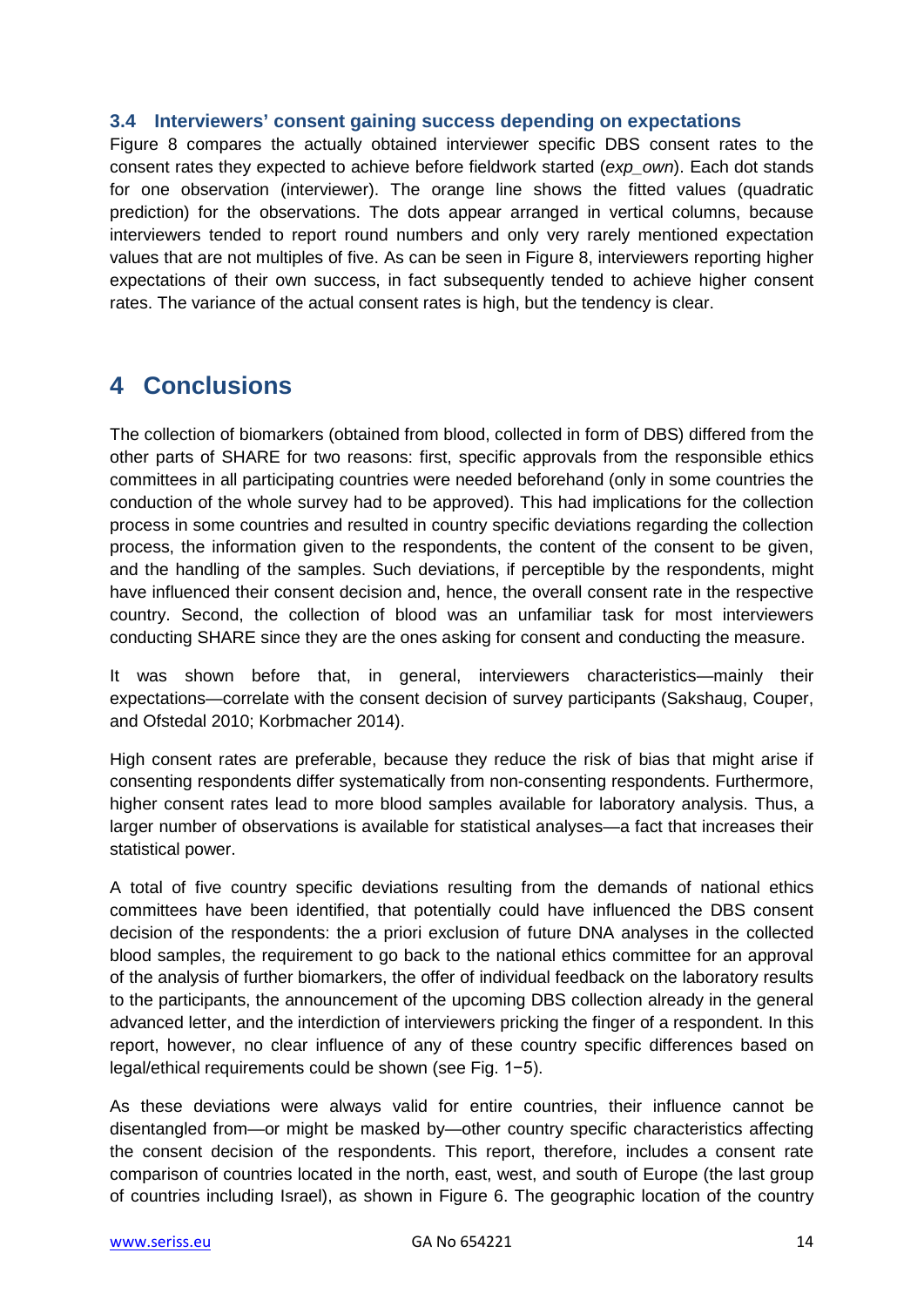### <span id="page-13-0"></span>**3.4 Interviewers' consent gaining success depending on expectations**

Figure 8 compares the actually obtained interviewer specific DBS consent rates to the consent rates they expected to achieve before fieldwork started (*exp\_own*). Each dot stands for one observation (interviewer). The orange line shows the fitted values (quadratic prediction) for the observations. The dots appear arranged in vertical columns, because interviewers tended to report round numbers and only very rarely mentioned expectation values that are not multiples of five. As can be seen in Figure 8, interviewers reporting higher expectations of their own success, in fact subsequently tended to achieve higher consent rates. The variance of the actual consent rates is high, but the tendency is clear.

### <span id="page-13-1"></span>**4 Conclusions**

The collection of biomarkers (obtained from blood, collected in form of DBS) differed from the other parts of SHARE for two reasons: first, specific approvals from the responsible ethics committees in all participating countries were needed beforehand (only in some countries the conduction of the whole survey had to be approved). This had implications for the collection process in some countries and resulted in country specific deviations regarding the collection process, the information given to the respondents, the content of the consent to be given, and the handling of the samples. Such deviations, if perceptible by the respondents, might have influenced their consent decision and, hence, the overall consent rate in the respective country. Second, the collection of blood was an unfamiliar task for most interviewers conducting SHARE since they are the ones asking for consent and conducting the measure.

It was shown before that, in general, interviewers characteristics—mainly their expectations—correlate with the consent decision of survey participants (Sakshaug, Couper, and Ofstedal 2010; Korbmacher 2014).

High consent rates are preferable, because they reduce the risk of bias that might arise if consenting respondents differ systematically from non-consenting respondents. Furthermore, higher consent rates lead to more blood samples available for laboratory analysis. Thus, a larger number of observations is available for statistical analyses—a fact that increases their statistical power.

A total of five country specific deviations resulting from the demands of national ethics committees have been identified, that potentially could have influenced the DBS consent decision of the respondents: the a priori exclusion of future DNA analyses in the collected blood samples, the requirement to go back to the national ethics committee for an approval of the analysis of further biomarkers, the offer of individual feedback on the laboratory results to the participants, the announcement of the upcoming DBS collection already in the general advanced letter, and the interdiction of interviewers pricking the finger of a respondent. In this report, however, no clear influence of any of these country specific differences based on legal/ethical requirements could be shown (see Fig. 1−5).

As these deviations were always valid for entire countries, their influence cannot be disentangled from—or might be masked by—other country specific characteristics affecting the consent decision of the respondents. This report, therefore, includes a consent rate comparison of countries located in the north, east, west, and south of Europe (the last group of countries including Israel), as shown in Figure 6. The geographic location of the country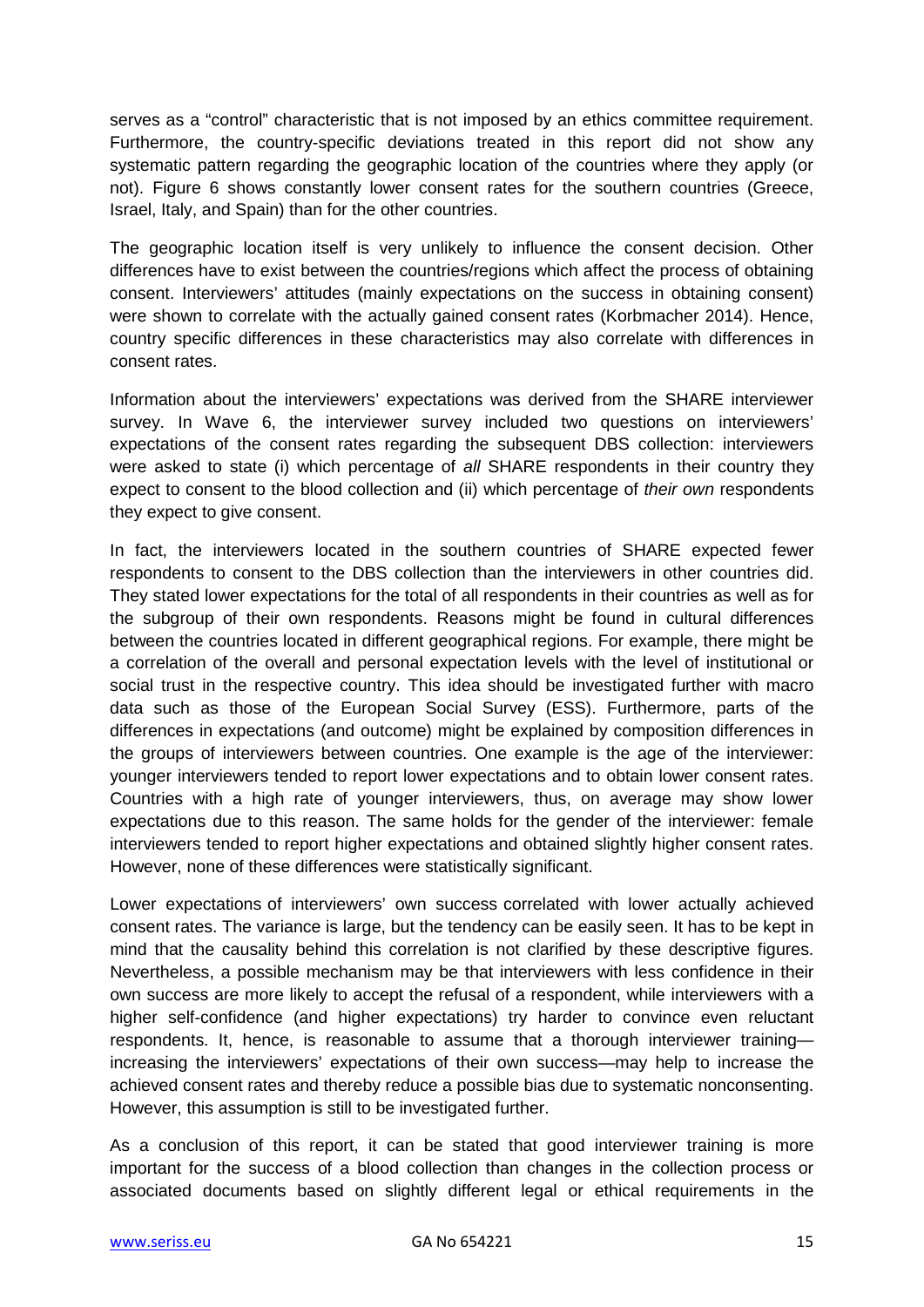serves as a "control" characteristic that is not imposed by an ethics committee requirement. Furthermore, the country-specific deviations treated in this report did not show any systematic pattern regarding the geographic location of the countries where they apply (or not). Figure 6 shows constantly lower consent rates for the southern countries (Greece, Israel, Italy, and Spain) than for the other countries.

The geographic location itself is very unlikely to influence the consent decision. Other differences have to exist between the countries/regions which affect the process of obtaining consent. Interviewers' attitudes (mainly expectations on the success in obtaining consent) were shown to correlate with the actually gained consent rates (Korbmacher 2014). Hence, country specific differences in these characteristics may also correlate with differences in consent rates.

Information about the interviewers' expectations was derived from the SHARE interviewer survey. In Wave 6, the interviewer survey included two questions on interviewers' expectations of the consent rates regarding the subsequent DBS collection: interviewers were asked to state (i) which percentage of *all* SHARE respondents in their country they expect to consent to the blood collection and (ii) which percentage of *their own* respondents they expect to give consent.

In fact, the interviewers located in the southern countries of SHARE expected fewer respondents to consent to the DBS collection than the interviewers in other countries did. They stated lower expectations for the total of all respondents in their countries as well as for the subgroup of their own respondents. Reasons might be found in cultural differences between the countries located in different geographical regions. For example, there might be a correlation of the overall and personal expectation levels with the level of institutional or social trust in the respective country. This idea should be investigated further with macro data such as those of the European Social Survey (ESS). Furthermore, parts of the differences in expectations (and outcome) might be explained by composition differences in the groups of interviewers between countries. One example is the age of the interviewer: younger interviewers tended to report lower expectations and to obtain lower consent rates. Countries with a high rate of younger interviewers, thus, on average may show lower expectations due to this reason. The same holds for the gender of the interviewer: female interviewers tended to report higher expectations and obtained slightly higher consent rates. However, none of these differences were statistically significant.

Lower expectations of interviewers' own success correlated with lower actually achieved consent rates. The variance is large, but the tendency can be easily seen. It has to be kept in mind that the causality behind this correlation is not clarified by these descriptive figures. Nevertheless, a possible mechanism may be that interviewers with less confidence in their own success are more likely to accept the refusal of a respondent, while interviewers with a higher self-confidence (and higher expectations) try harder to convince even reluctant respondents. It, hence, is reasonable to assume that a thorough interviewer training increasing the interviewers' expectations of their own success—may help to increase the achieved consent rates and thereby reduce a possible bias due to systematic nonconsenting. However, this assumption is still to be investigated further.

As a conclusion of this report, it can be stated that good interviewer training is more important for the success of a blood collection than changes in the collection process or associated documents based on slightly different legal or ethical requirements in the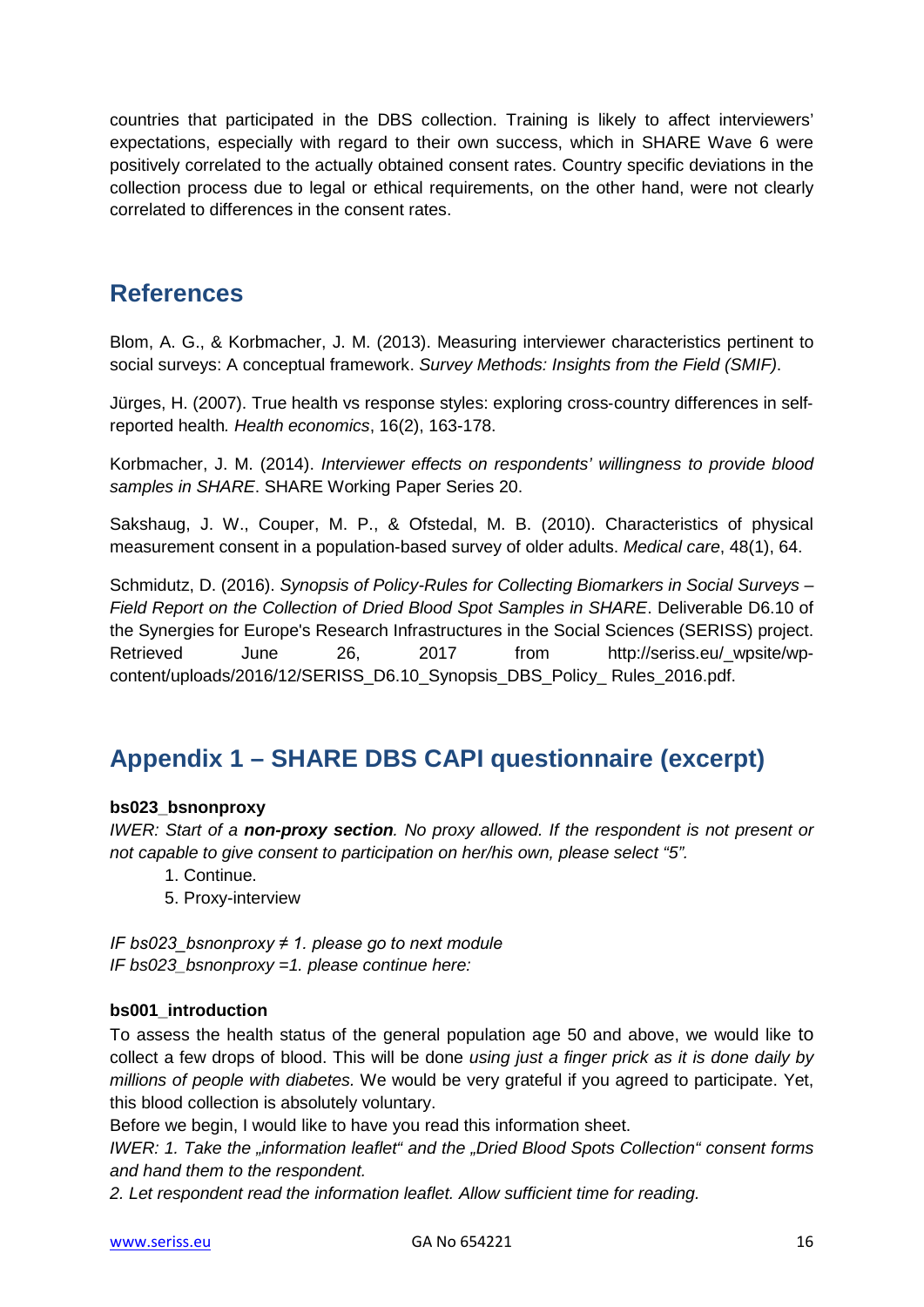countries that participated in the DBS collection. Training is likely to affect interviewers' expectations, especially with regard to their own success, which in SHARE Wave 6 were positively correlated to the actually obtained consent rates. Country specific deviations in the collection process due to legal or ethical requirements, on the other hand, were not clearly correlated to differences in the consent rates.

### <span id="page-15-0"></span>**References**

Blom, A. G., & Korbmacher, J. M. (2013). Measuring interviewer characteristics pertinent to social surveys: A conceptual framework. *Survey Methods: Insights from the Field (SMIF)*.

Jürges, H. (2007). True health vs response styles: exploring cross‐country differences in self‐ reported health*. Health economics*, 16(2), 163-178.

Korbmacher, J. M. (2014). *Interviewer effects on respondents' willingness to provide blood samples in SHARE*. SHARE Working Paper Series 20.

Sakshaug, J. W., Couper, M. P., & Ofstedal, M. B. (2010). Characteristics of physical measurement consent in a population-based survey of older adults. *Medical care*, 48(1), 64.

Schmidutz, D. (2016). *Synopsis of Policy-Rules for Collecting Biomarkers in Social Surveys – Field Report on the Collection of Dried Blood Spot Samples in SHARE*. Deliverable D6.10 of the Synergies for Europe's Research Infrastructures in the Social Sciences (SERISS) project. Retrieved June 26, 2017 from http://seriss.eu/\_wpsite/wpcontent/uploads/2016/12/SERISS\_D6.10\_Synopsis\_DBS\_Policy\_ Rules\_2016.pdf.

# <span id="page-15-1"></span>**Appendix 1 – SHARE DBS CAPI questionnaire (excerpt)**

### **bs023\_bsnonproxy**

*IWER: Start of a non-proxy section. No proxy allowed. If the respondent is not present or not capable to give consent to participation on her/his own, please select "5".*

- 1. Continue.
- 5. Proxy-interview

*IF bs023\_bsnonproxy ≠ 1. please go to next module IF bs023\_bsnonproxy =1. please continue here:*

#### **bs001\_introduction**

To assess the health status of the general population age 50 and above, we would like to collect a few drops of blood. This will be done *using just a finger prick as it is done daily by millions of people with diabetes.* We would be very grateful if you agreed to participate. Yet, this blood collection is absolutely voluntary.

Before we begin, I would like to have you read this information sheet.

*IWER: 1. Take the "information leaflet" and the "Dried Blood Spots Collection" consent forms and hand them to the respondent.* 

*2. Let respondent read the information leaflet. Allow sufficient time for reading.*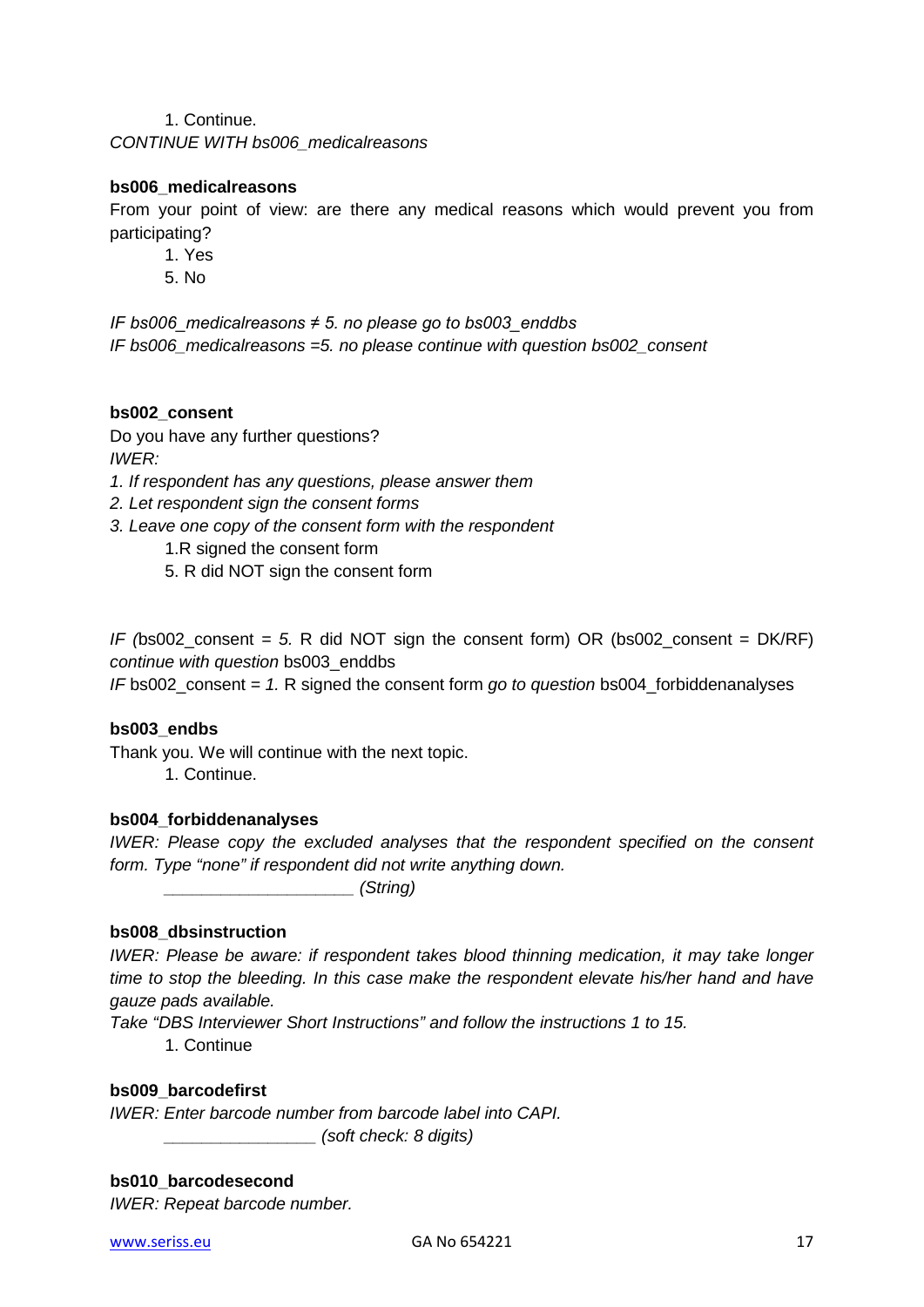1. Continue.

*CONTINUE WITH bs006\_medicalreasons*

#### **bs006\_medicalreasons**

From your point of view: are there any medical reasons which would prevent you from participating?

- 1. Yes
- 5. No

*IF bs006\_medicalreasons ≠ 5. no please go to bs003\_enddbs IF bs006\_medicalreasons =5. no please continue with question bs002\_consent*

#### **bs002\_consent**

Do you have any further questions? *IWER:* 

- *1. If respondent has any questions, please answer them*
- *2. Let respondent sign the consent forms*
- *3. Leave one copy of the consent form with the respondent*
	- 1.R signed the consent form
	- 5. R did NOT sign the consent form

*IF (*bs002\_consent *= 5.* R did NOT sign the consent form) OR (bs002\_consent = DK/RF) *continue with question* bs003\_enddbs

*IF* bs002\_consent *= 1.* R signed the consent form *go to question* bs004\_forbiddenanalyses

#### **bs003\_endbs**

Thank you. We will continue with the next topic.

1. Continue.

#### **bs004\_forbiddenanalyses**

*IWER: Please copy the excluded analyses that the respondent specified on the consent form. Type "none" if respondent did not write anything down.*

*\_\_\_\_\_\_\_\_\_\_\_\_\_\_\_\_\_\_\_\_ (String)*

#### **bs008\_dbsinstruction**

*IWER: Please be aware: if respondent takes blood thinning medication, it may take longer time to stop the bleeding. In this case make the respondent elevate his/her hand and have gauze pads available.* 

*Take "DBS Interviewer Short Instructions" and follow the instructions 1 to 15.* 

1. Continue

#### **bs009\_barcodefirst**

*IWER: Enter barcode number from barcode label into CAPI. \_\_\_\_\_\_\_\_\_\_\_\_\_\_\_\_ (soft check: 8 digits)*

#### **bs010\_barcodesecond**

*IWER: Repeat barcode number.*